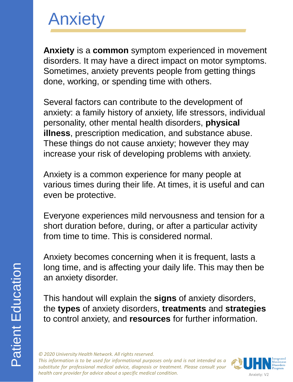**Anxiety** is a **common** symptom experienced in movemen t disorders. It may have a direct impact on motor symptoms . Sometimes, anxiety prevents people from getting things done, working, or spending time with others.

Several factors can contribute to the development of anxiety: a family history of anxiety, life stressors, individua l personality, other mental health disorders, **physical illness**, prescription medication, and substance abuse. These things do not cause anxiety; however they may increase your risk of developing problems with anxiety.

Anxiety is a common experience for many people at various times during their life. At times, it is useful and can even be protective.

Everyone experiences mild nervousness and tension for a short duration before, during, or after a particular activity from time to time. This is considered normal.

Anxiety becomes concerning when it is frequent, lasts a long time, and is affecting your daily life. This may then be an anxiety disorder.

This handout will explain the **signs** of anxiety disorders, the **types** of anxiety disorders, **treatments** and **strategie s** to control anxiety, and **resources** for further information.

*© 2020 University Health Network. All rights reserved. This information is to be used for informational purposes only and is not intended as a substitute for professional medical advice, diagnosis or treatment. Please consult your health care provider for advice about a specific medical condition.*

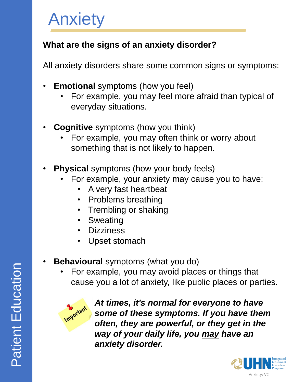## **What are the signs of an anxiety disorder?**

All anxiety disorders share some common signs or symptoms:

- **Emotional** symptoms (how you feel)
	- For example, you may feel more afraid than typical of everyday situations.
- **Cognitive** symptoms (how you think)
	- For example, you may often think or worry about something that is not likely to happen.
- **Physical** symptoms (how your body feels)
	- For example, your anxiety may cause you to have:
		- A very fast heartbeat
		- Problems breathing
		- Trembling or shaking
		- **Sweating**
		- Dizziness
		- Upset stomach
- **Behavioural** symptoms (what you do)
	- For example, you may avoid places or things that cause you a lot of anxiety, like public places or parties.



*At times, it's normal for everyone to have some of these symptoms. If you have them often, they are powerful, or they get in the way of your daily life, you may have an anxiety disorder.*

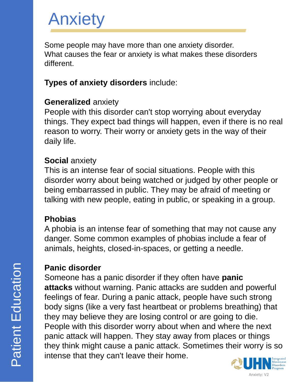Some people may have more than one anxiety disorder. What causes the fear or anxiety is what makes these disorders different.

### **Types of anxiety disorders** include:

#### **Generalized** anxiety

People with this disorder can't stop worrying about everyday things. They expect bad things will happen, even if there is no real reason to worry. Their worry or anxiety gets in the way of their daily life.

#### **Social** anxiety

This is an intense fear of social situations. People with this disorder worry about being watched or judged by other people or being embarrassed in public. They may be afraid of meeting or talking with new people, eating in public, or speaking in a group.

#### **Phobias**

A phobia is an intense fear of something that may not cause any danger. Some common examples of phobias include a fear of animals, heights, closed-in-spaces, or getting a needle.

### **Panic disorder**

Someone has a panic disorder if they often have **panic attacks** without warning. Panic attacks are sudden and powerful feelings of fear. During a panic attack, people have such strong body signs (like a very fast heartbeat or problems breathing) that they may believe they are losing control or are going to die. People with this disorder worry about when and where the next panic attack will happen. They stay away from places or things they think might cause a panic attack. Sometimes their worry is so intense that they can't leave their home.

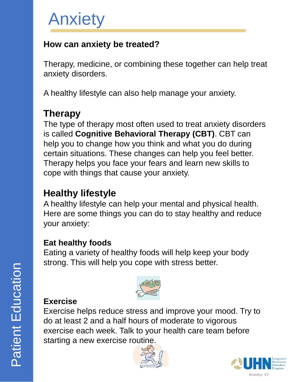### **How can anxiety be treated?**

Therapy, medicine, or combining these together can help treat anxiety disorders.

A healthy lifestyle can also help manage your anxiety.

# **Therapy**

The type of therapy most often used to treat anxiety disorders is called **Cognitive Behavioral Therapy (CBT)**. CBT can help you to change how you think and what you do during certain situations. These changes can help you feel better. Therapy helps you face your fears and learn new skills to cope with things that cause your anxiety.

## **Healthy lifestyle**

A healthy lifestyle can help your mental and physical health. Here are some things you can do to stay healthy and reduce your anxiety:

#### **Eat healthy foods**

Eating a variety of healthy foods will help keep your body strong. This will help you cope with stress better.



### **Exercise**

Exercise helps reduce stress and improve your mood. Try to do at least 2 and a half hours of moderate to vigorous exercise each week. Talk to your health care team before starting a new exercise routine.



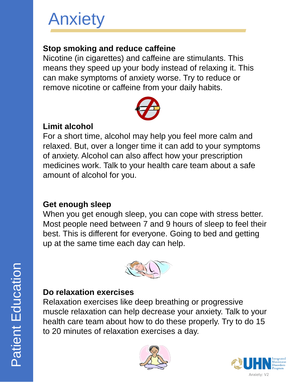### **Stop smoking and reduce caffeine**

Nicotine (in cigarettes) and caffeine are stimulants. This means they speed up your body instead of relaxing it. This can make symptoms of anxiety worse. Try to reduce or remove nicotine or caffeine from your daily habits.



### **Limit alcohol**

For a short time, alcohol may help you feel more calm and relaxed. But, over a longer time it can add to your symptoms of anxiety. Alcohol can also affect how your prescription medicines work. Talk to your health care team about a safe amount of alcohol for you.

### **Get enough sleep**

When you get enough sleep, you can cope with stress better. Most people need between 7 and 9 hours of sleep to feel their best. This is different for everyone. Going to bed and getting up at the same time each day can help.



### **Do relaxation exercises**

Relaxation exercises like deep breathing or progressive muscle relaxation can help decrease your anxiety. Talk to your health care team about how to do these properly. Try to do 15 to 20 minutes of relaxation exercises a day.



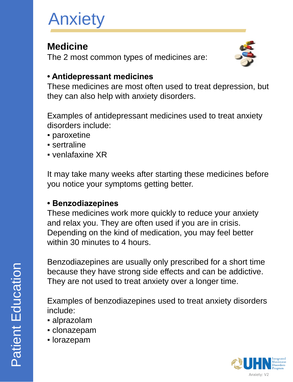## **Medicine**

The 2 most common types of medicines are:



### **• Antidepressant medicines**

These medicines are most often used to treat depression, but they can also help with anxiety disorders.

Examples of antidepressant medicines used to treat anxiety disorders include:

- paroxetine
- sertraline
- venlafaxine XR

It may take many weeks after starting these medicines before you notice your symptoms getting better.

#### **• Benzodiazepines**

These medicines work more quickly to reduce your anxiety and relax you. They are often used if you are in crisis. Depending on the kind of medication, you may feel better within 30 minutes to 4 hours.

Benzodiazepines are usually only prescribed for a short time because they have strong side effects and can be addictive. They are not used to treat anxiety over a longer time.

Examples of benzodiazepines used to treat anxiety disorders include:

- alprazolam
- clonazepam
- lorazepam